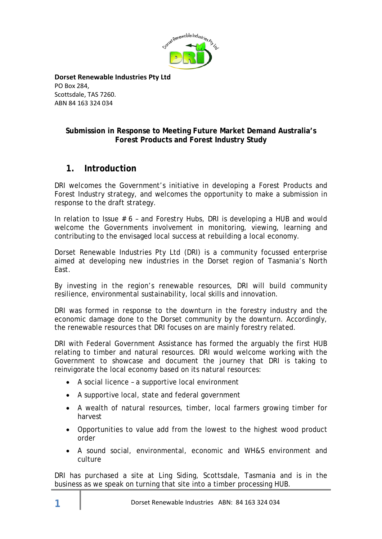

**Dorset Renewable Industries Pty Ltd** PO Box 284, Scottsdale, TAS 7260. ABN 84 163 324 034

#### **Submission in Response to Meeting Future Market Demand Australia's Forest Products and Forest Industry Study**

## **1. Introduction**

DRI welcomes the Government's initiative in developing a Forest Products and Forest Industry strategy, and welcomes the opportunity to make a submission in response to the draft strategy.

In relation to Issue # 6 – and Forestry Hubs, DRI is developing a HUB and would welcome the Governments involvement in monitoring, viewing, learning and contributing to the envisaged local success at rebuilding a local economy.

Dorset Renewable Industries Pty Ltd (DRI) is a community focussed enterprise aimed at developing new industries in the Dorset region of Tasmania's North East.

By investing in the region's renewable resources, DRI will build community resilience, environmental sustainability, local skills and innovation.

DRI was formed in response to the downturn in the forestry industry and the economic damage done to the Dorset community by the downturn. Accordingly, the renewable resources that DRI focuses on are mainly forestry related.

DRI with Federal Government Assistance has formed the arguably the first HUB relating to timber and natural resources. DRI would welcome working with the Government to showcase and document the journey that DRI is taking to reinvigorate the local economy based on its natural resources:

- A social licence a supportive local environment
- A supportive local, state and federal government
- A wealth of natural resources, timber, local farmers growing timber for harvest
- Opportunities to value add from the lowest to the highest wood product order
- A sound social, environmental, economic and WH&S environment and culture

DRI has purchased a site at Ling Siding, Scottsdale, Tasmania and is in the business as we speak on turning that site into a timber processing HUB.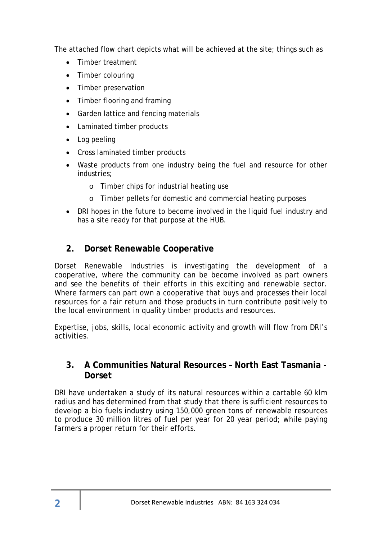The attached flow chart depicts what will be achieved at the site; things such as

- Timber treatment
- Timber colouring
- Timber preservation
- Timber flooring and framing
- Garden lattice and fencing materials
- Laminated timber products
- Log peeling
- Cross laminated timber products
- Waste products from one industry being the fuel and resource for other industries;
	- o Timber chips for industrial heating use
	- o Timber pellets for domestic and commercial heating purposes
- DRI hopes in the future to become involved in the liquid fuel industry and has a site ready for that purpose at the HUB.

## **2. Dorset Renewable Cooperative**

Dorset Renewable Industries is investigating the development of a cooperative, where the community can be become involved as part owners and see the benefits of their efforts in this exciting and renewable sector. Where farmers can part own a cooperative that buys and processes their local resources for a fair return and those products in turn contribute positively to the local environment in quality timber products and resources.

Expertise, jobs, skills, local economic activity and growth will flow from DRI's activities.

## **3. A Communities Natural Resources – North East Tasmania - Dorset**

DRI have undertaken a study of its natural resources within a cartable 60 klm radius and has determined from that study that there is sufficient resources to develop a bio fuels industry using 150,000 green tons of renewable resources to produce 30 million litres of fuel per year for 20 year period; while paying farmers a proper return for their efforts.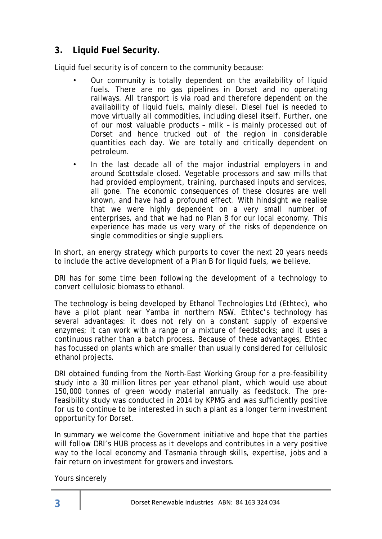# **3. Liquid Fuel Security.**

Liquid fuel security is of concern to the community because:

- Our community is totally dependent on the availability of liquid fuels. There are no gas pipelines in Dorset and no operating railways. All transport is via road and therefore dependent on the availability of liquid fuels, mainly diesel. Diesel fuel is needed to move virtually all commodities, including diesel itself. Further, one of our most valuable products – milk – is mainly processed out of Dorset and hence trucked out of the region in considerable quantities each day. We are totally and critically dependent on petroleum.
- In the last decade all of the major industrial employers in and around Scottsdale closed. Vegetable processors and saw mills that had provided employment, training, purchased inputs and services, all gone. The economic consequences of these closures are well known, and have had a profound effect. With hindsight we realise that we were highly dependent on a very small number of enterprises, and that we had no Plan B for our local economy. This experience has made us very wary of the risks of dependence on single commodities or single suppliers.

In short, an energy strategy which purports to cover the next 20 years needs to include the active development of a Plan B for liquid fuels, we believe.

DRI has for some time been following the development of a technology to convert cellulosic biomass to ethanol.

The technology is being developed by Ethanol Technologies Ltd (Ethtec), who have a pilot plant near Yamba in northern NSW. Ethtec's technology has several advantages: it does not rely on a constant supply of expensive enzymes; it can work with a range or a mixture of feedstocks; and it uses a continuous rather than a batch process. Because of these advantages, Ethtec has focussed on plants which are smaller than usually considered for cellulosic ethanol projects.

DRI obtained funding from the North-East Working Group for a pre-feasibility study into a 30 million litres per year ethanol plant, which would use about 150,000 tonnes of green woody material annually as feedstock. The prefeasibility study was conducted in 2014 by KPMG and was sufficiently positive for us to continue to be interested in such a plant as a longer term investment opportunity for Dorset.

In summary we welcome the Government initiative and hope that the parties will follow DRI's HUB process as it develops and contributes in a very positive way to the local economy and Tasmania through skills, expertise, jobs and a fair return on investment for growers and investors.

Yours sincerely